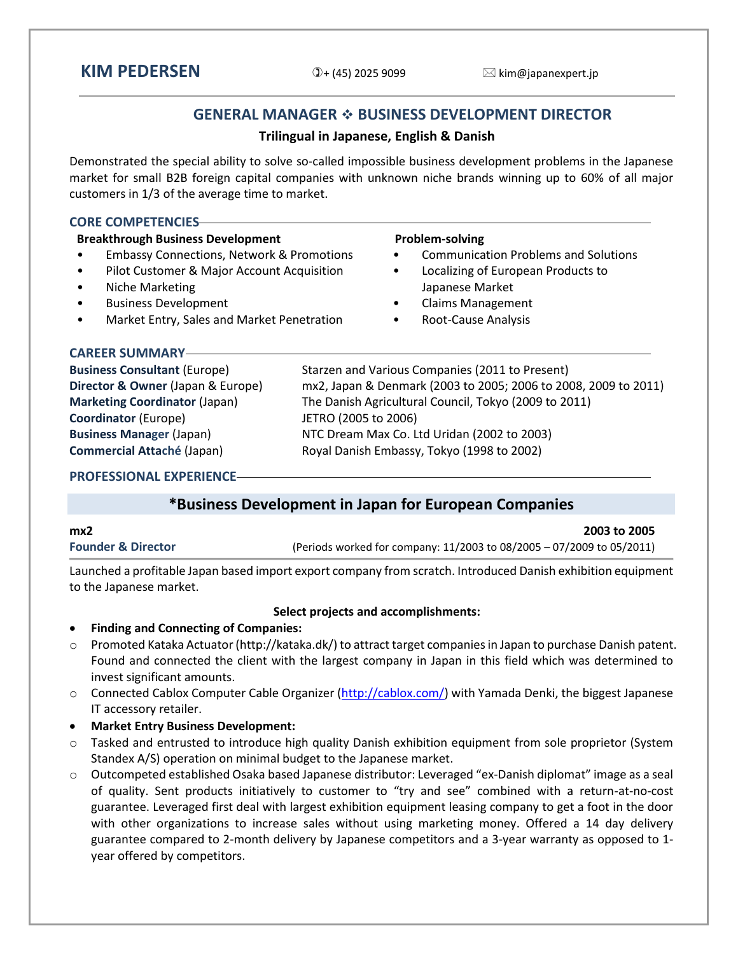# **KIM PEDERSEN**  $\mathbb{D}_{+}$  (45) 2025 9099  $\boxtimes$  kim@japanexpert.jp

## **GENERAL MANAGER BUSINESS DEVELOPMENT DIRECTOR**

## **Trilingual in Japanese, English & Danish**

Demonstrated the special ability to solve so-called impossible business development problems in the Japanese market for small B2B foreign capital companies with unknown niche brands winning up to 60% of all major customers in 1/3 of the average time to market.

#### **CORE COMPETENCIES Breakthrough Business Development** • Embassy Connections, Network & Promotions • Pilot Customer & Major Account Acquisition • Niche Marketing • Business Development • Market Entry, Sales and Market Penetration **Problem-solving** • Communication Problems and Solutions • Localizing of European Products to Japanese Market • Claims Management • Root-Cause Analysis **CAREER SUMMARY Business Consultant** (Europe) Starzen and Various Companies (2011 to Present) **Director & Owner** (Japan & Europe) mx2, Japan & Denmark (2003 to 2005; 2006 to 2008, 2009 to 2011) **Marketing Coordinator** (Japan) The Danish Agricultural Council, Tokyo (2009 to 2011) **Coordinator** (Europe) JETRO (2005 to 2006) **Business Manager** (Japan) NTC Dream Max Co. Ltd Uridan (2002 to 2003) **Commercial Attaché** (Japan) Royal Danish Embassy, Tokyo (1998 to 2002)

**PROFESSIONAL EXPERIENCE**

## **\*Business Development in Japan for European Companies**

| mx2                           | 2003 to 2005                                                                 |
|-------------------------------|------------------------------------------------------------------------------|
| <b>Founder &amp; Director</b> | (Periods worked for company: $11/2003$ to $08/2005 - 07/2009$ to $05/2011$ ) |

Launched a profitable Japan based import export company from scratch. Introduced Danish exhibition equipment to the Japanese market.

#### **Select projects and accomplishments:**

#### **Finding and Connecting of Companies:**

- o Promoted Kataka Actuator [\(http://kataka.dk/\)](http://kataka.dk/) to attract target companies in Japan to purchase Danish patent. Found and connected the client with the largest company in Japan in this field which was determined to invest significant amounts.
- $\circ$  Connected Cablox Computer Cable Organizer [\(http://cablox.com/\)](http://cablox.com/) with Yamada Denki, the biggest Japanese IT accessory retailer.
- **Market Entry Business Development:**
- o Tasked and entrusted to introduce high quality Danish exhibition equipment from sole proprietor (System Standex A/S) operation on minimal budget to the Japanese market.
- o Outcompeted established Osaka based Japanese distributor: Leveraged "ex-Danish diplomat" image as a seal of quality. Sent products initiatively to customer to "try and see" combined with a return-at-no-cost guarantee. Leveraged first deal with largest exhibition equipment leasing company to get a foot in the door with other organizations to increase sales without using marketing money. Offered a 14 day delivery guarantee compared to 2-month delivery by Japanese competitors and a 3-year warranty as opposed to 1 year offered by competitors.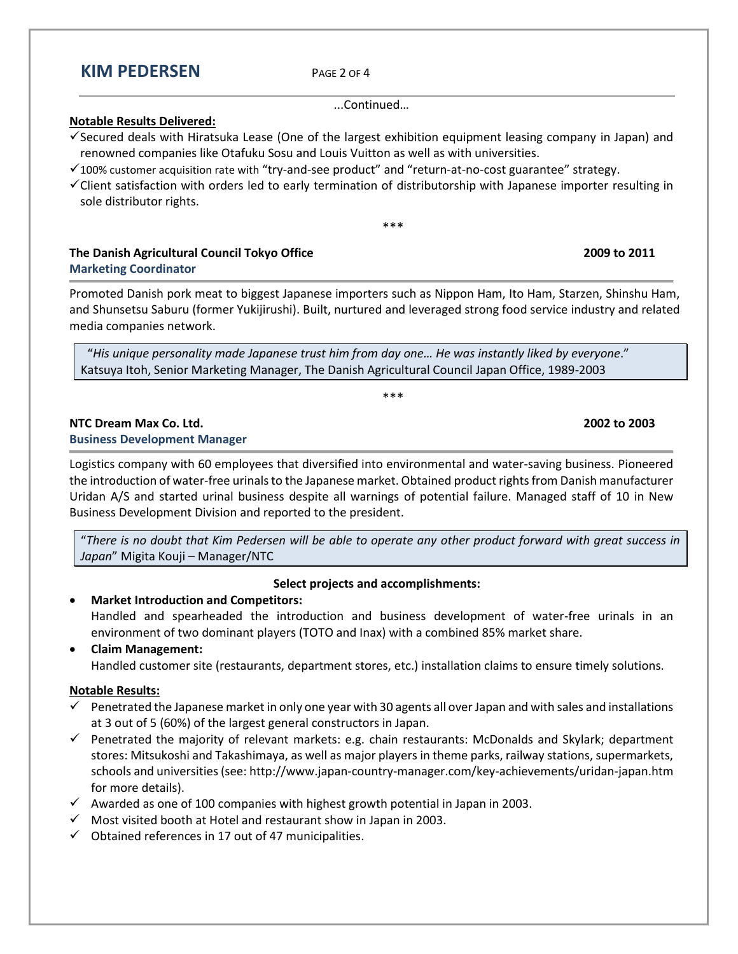# **KIM PEDERSEN** <sup>P</sup>AGE <sup>2</sup> OF <sup>4</sup>

...Continued…

#### **Notable Results Delivered:**

- Secured deals with Hiratsuka Lease (One of the largest exhibition equipment leasing company in Japan) and renowned companies like Otafuku Sosu and Louis Vuitton as well as with universities.
- $\checkmark$  100% customer acquisition rate with "try-and-see product" and "return-at-no-cost guarantee" strategy.
- Client satisfaction with orders led to early termination of distributorship with Japanese importer resulting in sole distributor rights.

\*\*\*

#### **The Danish Agricultural Council Tokyo Office 2009 to 2011 Marketing Coordinator**

Promoted Danish pork meat to biggest Japanese importers such as Nippon Ham, Ito Ham, Starzen, Shinshu Ham, and Shunsetsu Saburu (former Yukijirushi). Built, nurtured and leveraged strong food service industry and related media companies network.

"*His unique personality made Japanese trust him from day one… He was instantly liked by everyone*." Katsuya Itoh, Senior Marketing Manager, The Danish Agricultural Council Japan Office, 1989-2003

### **NTC Dream Max Co. Ltd. 2002 to 2003**

#### **Business Development Manager**

Logistics company with 60 employees that diversified into environmental and water-saving business. Pioneered the introduction of water-free urinals to the Japanese market. Obtained product rights from Danish manufacturer Uridan A/S and started urinal business despite all warnings of potential failure. Managed staff of 10 in New Business Development Division and reported to the president.

"*There is no doubt that Kim Pedersen will be able to operate any other product forward with great success in Japan*" Migita Kouji – Manager/NTC

## **Select projects and accomplishments:**

#### **Market Introduction and Competitors:**

Handled and spearheaded the introduction and business development of water-free urinals in an environment of two dominant players (TOTO and Inax) with a combined 85% market share.

#### **Claim Management:**

Handled customer site (restaurants, department stores, etc.) installation claims to ensure timely solutions.

### **Notable Results:**

- $\checkmark$  Penetrated the Japanese market in only one year with 30 agents all over Japan and with sales and installations at 3 out of 5 (60%) of the largest general constructors in Japan.
- Penetrated the majority of relevant markets: e.g. chain restaurants: McDonalds and Skylark; department stores: Mitsukoshi and Takashimaya, as well as major players in theme parks, railway stations, supermarkets, schools and universities (see: http://www.japan-country-manager.com/key-achievements/uridan-japan.htm for more details).
- $\checkmark$  Awarded as one of 100 companies with highest growth potential in Japan in 2003.
- $\checkmark$  Most visited booth at Hotel and restaurant show in Japan in 2003.
- $\checkmark$  Obtained references in 17 out of 47 municipalities.

\*\*\*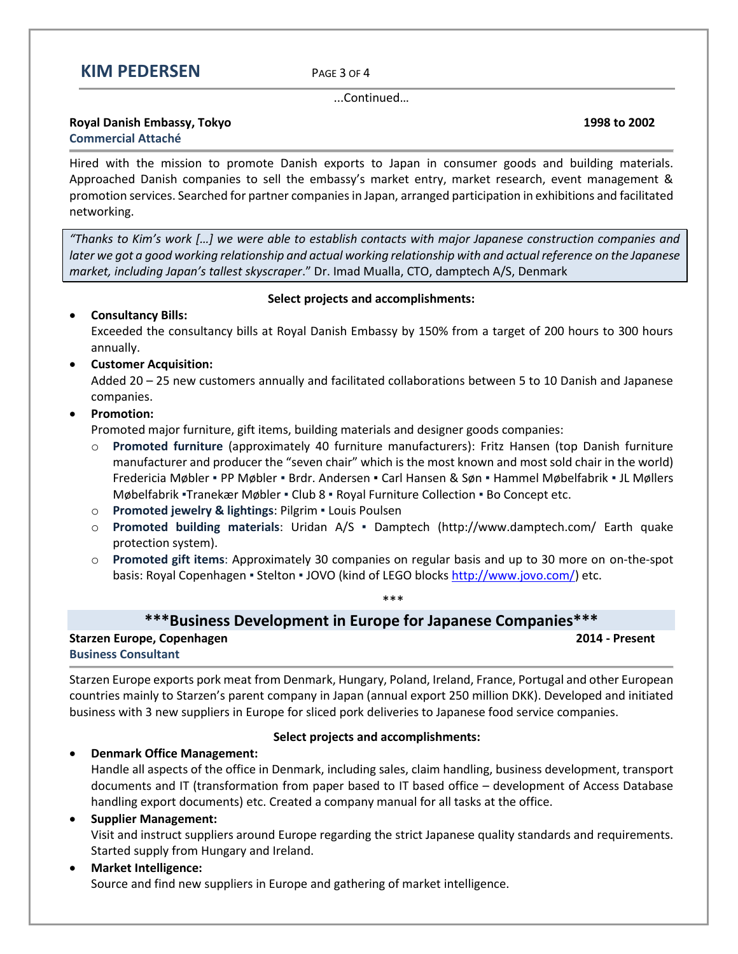

...Continued…

# **Royal Danish Embassy, Tokyo 1998 to 2002**

# **Commercial Attaché**

Hired with the mission to promote Danish exports to Japan in consumer goods and building materials. Approached Danish companies to sell the embassy's market entry, market research, event management & promotion services. Searched for partner companies in Japan, arranged participation in exhibitions and facilitated networking.

*"Thanks to Kim's work […] we were able to establish contacts with major Japanese construction companies and later we got a good working relationship and actual working relationship with and actual reference on the Japanese market, including Japan's tallest skyscraper*." Dr. Imad Mualla, CTO, damptech A/S, Denmark

### **Select projects and accomplishments:**

## **Consultancy Bills:**

Exceeded the consultancy bills at Royal Danish Embassy by 150% from a target of 200 hours to 300 hours annually.

## **Customer Acquisition:**

Added 20 – 25 new customers annually and facilitated collaborations between 5 to 10 Danish and Japanese companies.

## **•** Promotion:

Promoted major furniture, gift items, building materials and designer goods companies:

- o **Promoted furniture** (approximately 40 furniture manufacturers): Fritz Hansen (top Danish furniture manufacturer and producer the "seven chair" which is the most known and most sold chair in the world) Fredericia Møbler ▪ PP Møbler ▪ Brdr. Andersen ▪ Carl Hansen & Søn ▪ Hammel Møbelfabrik ▪ JL Møllers Møbelfabrik ▪Tranekær Møbler ▪ Club 8 ▪ Royal Furniture Collection ▪ Bo Concept etc.
- o **Promoted jewelry & lightings**: Pilgrim Louis Poulsen
- o **Promoted building materials**: Uridan A/S Damptech (http://www.damptech.com/ Earth quake protection system).
- o **Promoted gift items**: Approximately 30 companies on regular basis and up to 30 more on on-the-spot basis: Royal Copenhagen · Stelton · JOVO (kind of LEGO blocks [http://www.jovo.com/\)](http://www.jovo.com/) etc.

\*\*\*

# **\*\*\*Business Development in Europe for Japanese Companies\*\*\***

**Starzen Europe, Copenhagen 2014 - Present Business Consultant**

Starzen Europe exports pork meat from Denmark, Hungary, Poland, Ireland, France, Portugal and other European countries mainly to Starzen's parent company in Japan (annual export 250 million DKK). Developed and initiated business with 3 new suppliers in Europe for sliced pork deliveries to Japanese food service companies.

#### **Select projects and accomplishments:**

**Denmark Office Management:** 

Handle all aspects of the office in Denmark, including sales, claim handling, business development, transport documents and IT (transformation from paper based to IT based office – development of Access Database handling export documents) etc. Created a company manual for all tasks at the office.

## **Supplier Management:**

Visit and instruct suppliers around Europe regarding the strict Japanese quality standards and requirements. Started supply from Hungary and Ireland.

# **Market Intelligence:**

Source and find new suppliers in Europe and gathering of market intelligence.